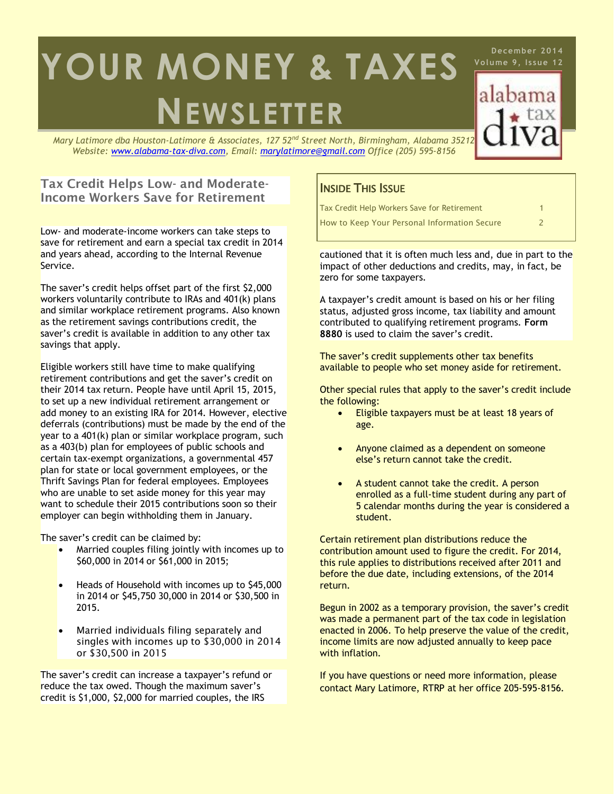# **NEWSLETTER YOUR MONEY & TAXES**

*Mary Latimore dba Houston-Latimore & Associates, 127 52nd Street North, Birmingham, Alabama 35212 Website: [www.alabama-tax-diva.com,](http://www.alabama-tax-diva.com/) Email: [marylatimore@gmail.com](mailto:marylatimore@gmail.com) Office (205) 595-8156*

## **Tax Credit Helps Low- and Moderate-Income Workers Save for Retirement**

Low- and moderate-income workers can take steps to save for retirement and earn a special tax credit in 2014 and years ahead, according to the Internal Revenue Service.

The saver's credit helps offset part of the first \$2,000 workers voluntarily contribute to IRAs and 401(k) plans and similar workplace retirement programs. Also known as the retirement savings contributions credit, the saver's credit is available in addition to any other tax savings that apply.

Eligible workers still have time to make qualifying retirement contributions and get the saver's credit on their 2014 tax return. People have until April 15, 2015, to set up a new individual retirement arrangement or add money to an existing IRA for 2014. However, elective deferrals (contributions) must be made by the end of the year to a 401(k) plan or similar workplace program, such as a 403(b) plan for employees of public schools and certain tax-exempt organizations, a governmental 457 plan for state or local government employees, or the Thrift Savings Plan for federal employees. Employees who are unable to set aside money for this year may want to schedule their 2015 contributions soon so their employer can begin withholding them in January.

The saver's credit can be claimed by:

- Married couples filing jointly with incomes up to \$60,000 in 2014 or \$61,000 in 2015;
- Heads of Household with incomes up to \$45,000 in 2014 or \$45,750 30,000 in 2014 or \$30,500 in 2015.
- Married individuals filing separately and singles with incomes up to \$30,000 in 2014 or \$30,500 in 2015

The saver's credit can increase a taxpayer's refund or reduce the tax owed. Though the maximum saver's credit is \$1,000, \$2,000 for married couples, the IRS

# **INSIDE THIS ISSUE**

| Tax Credit Help Workers Save for Retirement  |  |
|----------------------------------------------|--|
| How to Keep Your Personal Information Secure |  |

**December 2014 Volume 9, Is sue 12**

alabama

cautioned that it is often much less and, due in part to the impact of other deductions and credits, may, in fact, be zero for some taxpayers.

A taxpayer's credit amount is based on his or her filing status, adjusted gross income, tax liability and amount contributed to qualifying retirement programs. **[Form](http://www.irs.gov/uac/Form-8880,-Credit-for-Qualified-Retirement-Savings-Contributions)  [8880](http://www.irs.gov/uac/Form-8880,-Credit-for-Qualified-Retirement-Savings-Contributions)** is used to claim the saver's credit.

The saver's credit supplements other tax benefits available to people who set money aside for retirement.

Other special rules that apply to the saver's credit include the following:

- Eligible taxpayers must be at least 18 years of age.
- Anyone claimed as a dependent on someone else's return cannot take the credit.
- A student cannot take the credit. A person enrolled as a full-time student during any part of 5 calendar months during the year is considered a student.

Certain retirement plan distributions reduce the contribution amount used to figure the credit. For 2014, this rule applies to distributions received after 2011 and before the due date, including extensions, of the 2014 return.

Begun in 2002 as a temporary provision, the saver's credit was made a permanent part of the tax code in legislation enacted in 2006. To help preserve the value of the credit, income limits are now adjusted annually to keep pace with inflation.

If you have questions or need more information, please contact Mary Latimore, RTRP at her office 205-595-8156.